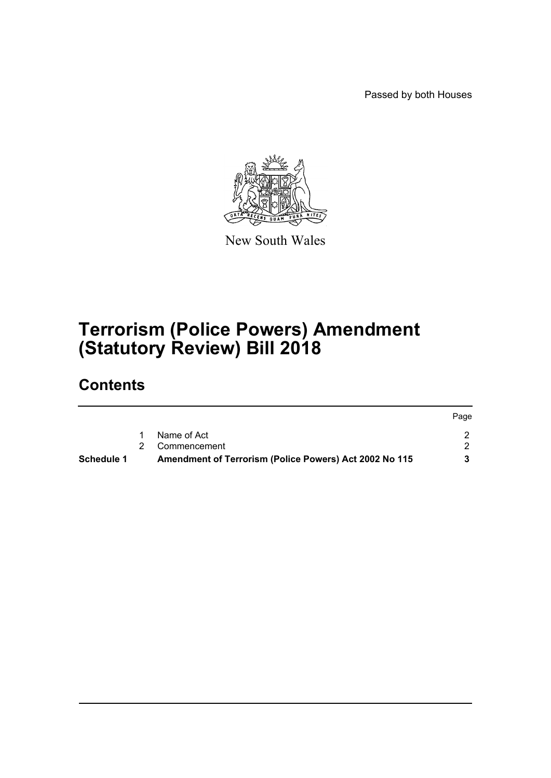Passed by both Houses



New South Wales

# **Terrorism (Police Powers) Amendment (Statutory Review) Bill 2018**

# **Contents**

| <b>Schedule 1</b> | Amendment of Terrorism (Police Powers) Act 2002 No 115 |      |
|-------------------|--------------------------------------------------------|------|
|                   | 2 Commencement                                         |      |
|                   | Name of Act                                            |      |
|                   |                                                        | Page |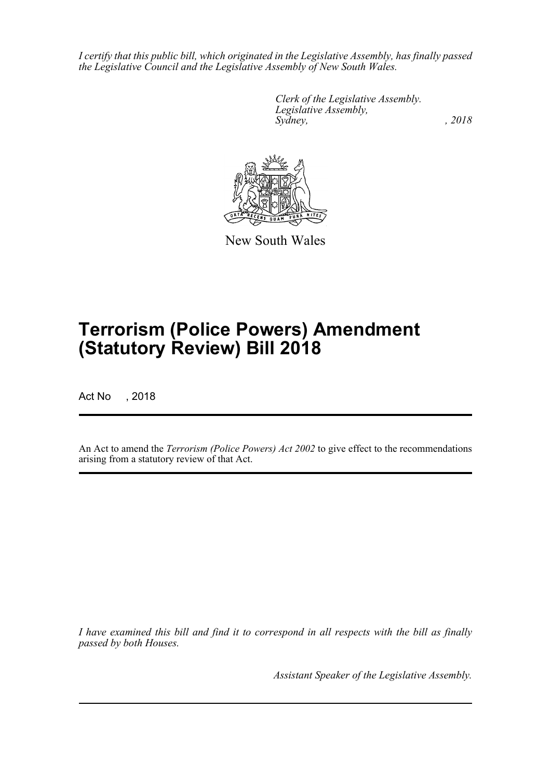*I certify that this public bill, which originated in the Legislative Assembly, has finally passed the Legislative Council and the Legislative Assembly of New South Wales.*

> *Clerk of the Legislative Assembly. Legislative Assembly, Sydney, , 2018*



New South Wales

# **Terrorism (Police Powers) Amendment (Statutory Review) Bill 2018**

Act No , 2018

An Act to amend the *Terrorism (Police Powers) Act 2002* to give effect to the recommendations arising from a statutory review of that Act.

*I have examined this bill and find it to correspond in all respects with the bill as finally passed by both Houses.*

*Assistant Speaker of the Legislative Assembly.*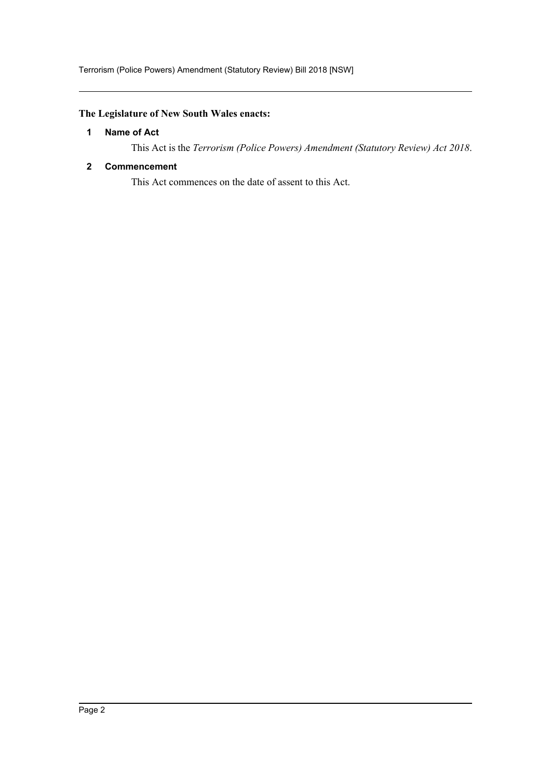# <span id="page-2-0"></span>**The Legislature of New South Wales enacts:**

# **1 Name of Act**

This Act is the *Terrorism (Police Powers) Amendment (Statutory Review) Act 2018*.

# <span id="page-2-1"></span>**2 Commencement**

This Act commences on the date of assent to this Act.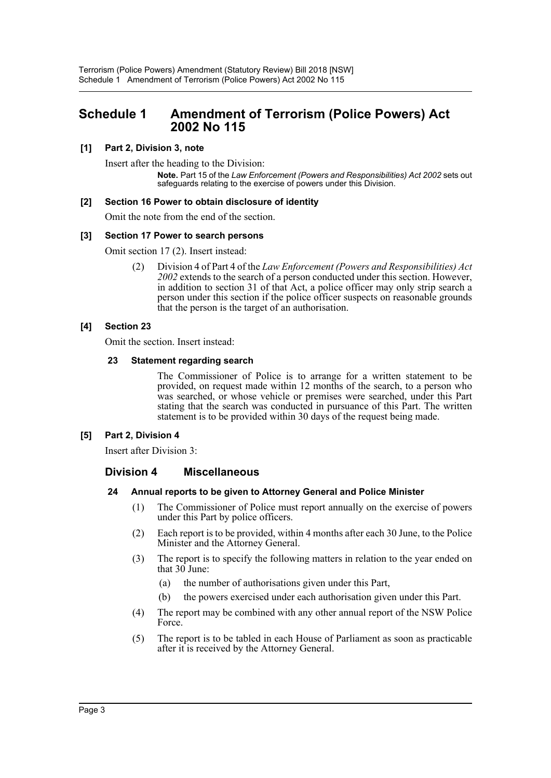# <span id="page-3-0"></span>**Schedule 1 Amendment of Terrorism (Police Powers) Act 2002 No 115**

# **[1] Part 2, Division 3, note**

Insert after the heading to the Division:

**Note.** Part 15 of the *Law Enforcement (Powers and Responsibilities) Act 2002* sets out safeguards relating to the exercise of powers under this Division.

#### **[2] Section 16 Power to obtain disclosure of identity**

Omit the note from the end of the section.

#### **[3] Section 17 Power to search persons**

Omit section 17 (2). Insert instead:

(2) Division 4 of Part 4 of the *Law Enforcement (Powers and Responsibilities) Act 2002* extends to the search of a person conducted under this section. However, in addition to section 31 of that Act, a police officer may only strip search a person under this section if the police officer suspects on reasonable grounds that the person is the target of an authorisation.

# **[4] Section 23**

Omit the section. Insert instead:

#### **23 Statement regarding search**

The Commissioner of Police is to arrange for a written statement to be provided, on request made within 12 months of the search, to a person who was searched, or whose vehicle or premises were searched, under this Part stating that the search was conducted in pursuance of this Part. The written statement is to be provided within 30 days of the request being made.

#### **[5] Part 2, Division 4**

Insert after Division 3:

# **Division 4 Miscellaneous**

#### **24 Annual reports to be given to Attorney General and Police Minister**

- (1) The Commissioner of Police must report annually on the exercise of powers under this Part by police officers.
- (2) Each report is to be provided, within 4 months after each 30 June, to the Police Minister and the Attorney General.
- (3) The report is to specify the following matters in relation to the year ended on that  $30$  June:
	- (a) the number of authorisations given under this Part,
	- (b) the powers exercised under each authorisation given under this Part.
- (4) The report may be combined with any other annual report of the NSW Police Force.
- (5) The report is to be tabled in each House of Parliament as soon as practicable after it is received by the Attorney General.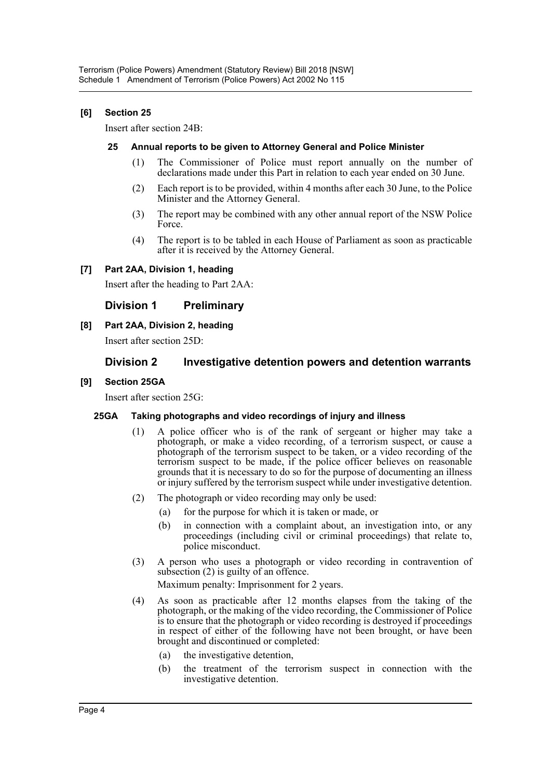# **[6] Section 25**

Insert after section 24B:

#### **25 Annual reports to be given to Attorney General and Police Minister**

- (1) The Commissioner of Police must report annually on the number of declarations made under this Part in relation to each year ended on 30 June.
- (2) Each report is to be provided, within 4 months after each 30 June, to the Police Minister and the Attorney General.
- (3) The report may be combined with any other annual report of the NSW Police Force.
- (4) The report is to be tabled in each House of Parliament as soon as practicable after it is received by the Attorney General.

# **[7] Part 2AA, Division 1, heading**

Insert after the heading to Part 2AA:

# **Division 1 Preliminary**

**[8] Part 2AA, Division 2, heading**

Insert after section 25D:

# **Division 2 Investigative detention powers and detention warrants**

# **[9] Section 25GA**

Insert after section 25G:

#### **25GA Taking photographs and video recordings of injury and illness**

- (1) A police officer who is of the rank of sergeant or higher may take a photograph, or make a video recording, of a terrorism suspect, or cause a photograph of the terrorism suspect to be taken, or a video recording of the terrorism suspect to be made, if the police officer believes on reasonable grounds that it is necessary to do so for the purpose of documenting an illness or injury suffered by the terrorism suspect while under investigative detention.
- (2) The photograph or video recording may only be used:
	- (a) for the purpose for which it is taken or made, or
	- (b) in connection with a complaint about, an investigation into, or any proceedings (including civil or criminal proceedings) that relate to, police misconduct.
- (3) A person who uses a photograph or video recording in contravention of subsection (2) is guilty of an offence.

Maximum penalty: Imprisonment for 2 years.

- (4) As soon as practicable after 12 months elapses from the taking of the photograph, or the making of the video recording, the Commissioner of Police is to ensure that the photograph or video recording is destroyed if proceedings in respect of either of the following have not been brought, or have been brought and discontinued or completed:
	- (a) the investigative detention,
	- (b) the treatment of the terrorism suspect in connection with the investigative detention.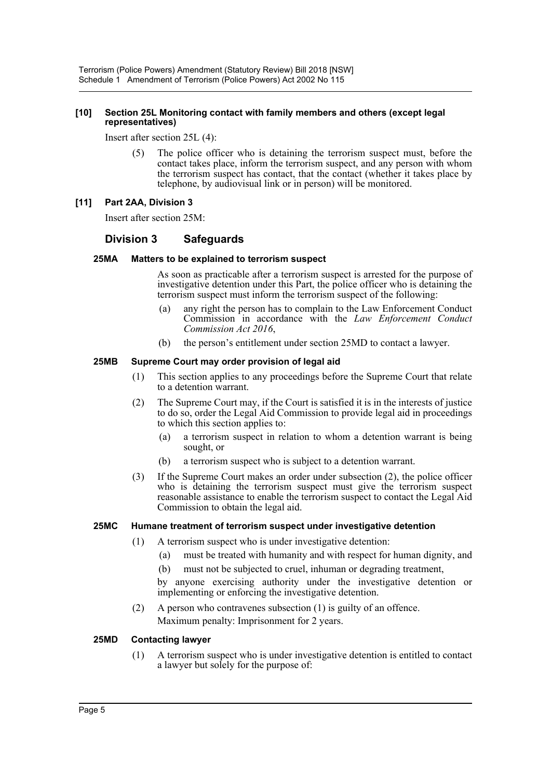#### **[10] Section 25L Monitoring contact with family members and others (except legal representatives)**

Insert after section 25L (4):

The police officer who is detaining the terrorism suspect must, before the contact takes place, inform the terrorism suspect, and any person with whom the terrorism suspect has contact, that the contact (whether it takes place by telephone, by audiovisual link or in person) will be monitored.

#### **[11] Part 2AA, Division 3**

Insert after section 25M:

# **Division 3 Safeguards**

#### **25MA Matters to be explained to terrorism suspect**

As soon as practicable after a terrorism suspect is arrested for the purpose of investigative detention under this Part, the police officer who is detaining the terrorism suspect must inform the terrorism suspect of the following:

- (a) any right the person has to complain to the Law Enforcement Conduct Commission in accordance with the *Law Enforcement Conduct Commission Act 2016*,
- (b) the person's entitlement under section 25MD to contact a lawyer.

#### **25MB Supreme Court may order provision of legal aid**

- (1) This section applies to any proceedings before the Supreme Court that relate to a detention warrant.
- (2) The Supreme Court may, if the Court is satisfied it is in the interests of justice to do so, order the Legal Aid Commission to provide legal aid in proceedings to which this section applies to:
	- (a) a terrorism suspect in relation to whom a detention warrant is being sought, or
	- (b) a terrorism suspect who is subject to a detention warrant.
- (3) If the Supreme Court makes an order under subsection (2), the police officer who is detaining the terrorism suspect must give the terrorism suspect reasonable assistance to enable the terrorism suspect to contact the Legal Aid Commission to obtain the legal aid.

#### **25MC Humane treatment of terrorism suspect under investigative detention**

- (1) A terrorism suspect who is under investigative detention:
	- (a) must be treated with humanity and with respect for human dignity, and
	- (b) must not be subjected to cruel, inhuman or degrading treatment,

by anyone exercising authority under the investigative detention or implementing or enforcing the investigative detention.

(2) A person who contravenes subsection (1) is guilty of an offence. Maximum penalty: Imprisonment for 2 years.

#### **25MD Contacting lawyer**

(1) A terrorism suspect who is under investigative detention is entitled to contact a lawyer but solely for the purpose of: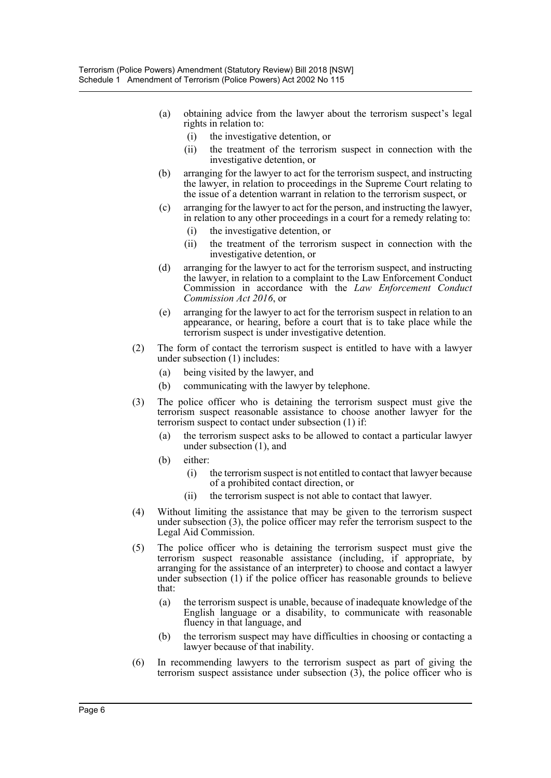- (a) obtaining advice from the lawyer about the terrorism suspect's legal rights in relation to:
	- (i) the investigative detention, or
	- (ii) the treatment of the terrorism suspect in connection with the investigative detention, or
- (b) arranging for the lawyer to act for the terrorism suspect, and instructing the lawyer, in relation to proceedings in the Supreme Court relating to the issue of a detention warrant in relation to the terrorism suspect, or
- (c) arranging for the lawyer to act for the person, and instructing the lawyer, in relation to any other proceedings in a court for a remedy relating to:
	- (i) the investigative detention, or
	- (ii) the treatment of the terrorism suspect in connection with the investigative detention, or
- (d) arranging for the lawyer to act for the terrorism suspect, and instructing the lawyer, in relation to a complaint to the Law Enforcement Conduct Commission in accordance with the *Law Enforcement Conduct Commission Act 2016*, or
- (e) arranging for the lawyer to act for the terrorism suspect in relation to an appearance, or hearing, before a court that is to take place while the terrorism suspect is under investigative detention.
- (2) The form of contact the terrorism suspect is entitled to have with a lawyer under subsection (1) includes:
	- (a) being visited by the lawyer, and
	- (b) communicating with the lawyer by telephone.
- (3) The police officer who is detaining the terrorism suspect must give the terrorism suspect reasonable assistance to choose another lawyer for the terrorism suspect to contact under subsection (1) if:
	- (a) the terrorism suspect asks to be allowed to contact a particular lawyer under subsection (1), and
	- (b) either:
		- (i) the terrorism suspect is not entitled to contact that lawyer because of a prohibited contact direction, or
		- (ii) the terrorism suspect is not able to contact that lawyer.
- (4) Without limiting the assistance that may be given to the terrorism suspect under subsection (3), the police officer may refer the terrorism suspect to the Legal Aid Commission.
- (5) The police officer who is detaining the terrorism suspect must give the terrorism suspect reasonable assistance (including, if appropriate, by arranging for the assistance of an interpreter) to choose and contact a lawyer under subsection (1) if the police officer has reasonable grounds to believe that:
	- (a) the terrorism suspect is unable, because of inadequate knowledge of the English language or a disability, to communicate with reasonable fluency in that language, and
	- (b) the terrorism suspect may have difficulties in choosing or contacting a lawyer because of that inability.
- (6) In recommending lawyers to the terrorism suspect as part of giving the terrorism suspect assistance under subsection  $(3)$ , the police officer who is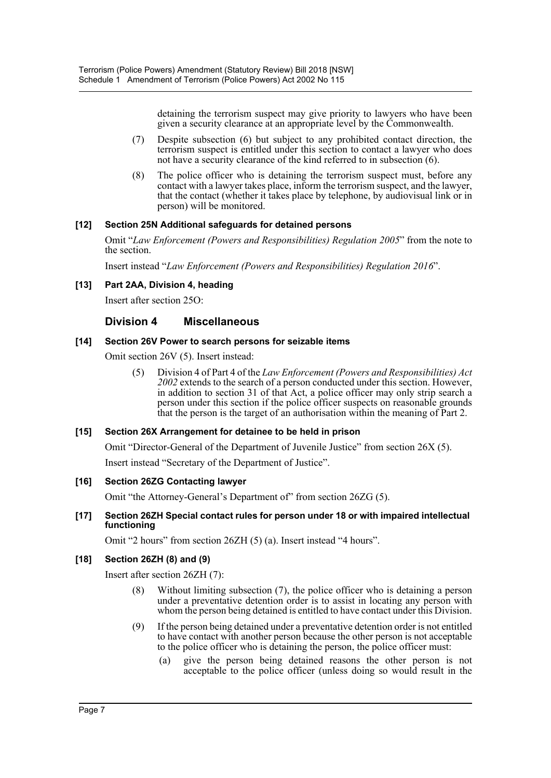detaining the terrorism suspect may give priority to lawyers who have been given a security clearance at an appropriate level by the Commonwealth.

- (7) Despite subsection (6) but subject to any prohibited contact direction, the terrorism suspect is entitled under this section to contact a lawyer who does not have a security clearance of the kind referred to in subsection (6).
- (8) The police officer who is detaining the terrorism suspect must, before any contact with a lawyer takes place, inform the terrorism suspect, and the lawyer, that the contact (whether it takes place by telephone, by audiovisual link or in person) will be monitored.

# **[12] Section 25N Additional safeguards for detained persons**

Omit "*Law Enforcement (Powers and Responsibilities) Regulation 2005*" from the note to the section.

Insert instead "*Law Enforcement (Powers and Responsibilities) Regulation 2016*".

# **[13] Part 2AA, Division 4, heading**

Insert after section 25O:

# **Division 4 Miscellaneous**

#### **[14] Section 26V Power to search persons for seizable items**

Omit section 26V (5). Insert instead:

(5) Division 4 of Part 4 of the *Law Enforcement (Powers and Responsibilities) Act 2002* extends to the search of a person conducted under this section. However, in addition to section 31 of that Act, a police officer may only strip search a person under this section if the police officer suspects on reasonable grounds that the person is the target of an authorisation within the meaning of Part 2.

#### **[15] Section 26X Arrangement for detainee to be held in prison**

Omit "Director-General of the Department of Juvenile Justice" from section 26X (5).

Insert instead "Secretary of the Department of Justice".

#### **[16] Section 26ZG Contacting lawyer**

Omit "the Attorney-General's Department of" from section 26ZG (5).

#### **[17] Section 26ZH Special contact rules for person under 18 or with impaired intellectual functioning**

Omit "2 hours" from section 26ZH (5) (a). Insert instead "4 hours".

#### **[18] Section 26ZH (8) and (9)**

Insert after section 26ZH (7):

- (8) Without limiting subsection (7), the police officer who is detaining a person under a preventative detention order is to assist in locating any person with whom the person being detained is entitled to have contact under this Division.
- (9) If the person being detained under a preventative detention order is not entitled to have contact with another person because the other person is not acceptable to the police officer who is detaining the person, the police officer must:
	- (a) give the person being detained reasons the other person is not acceptable to the police officer (unless doing so would result in the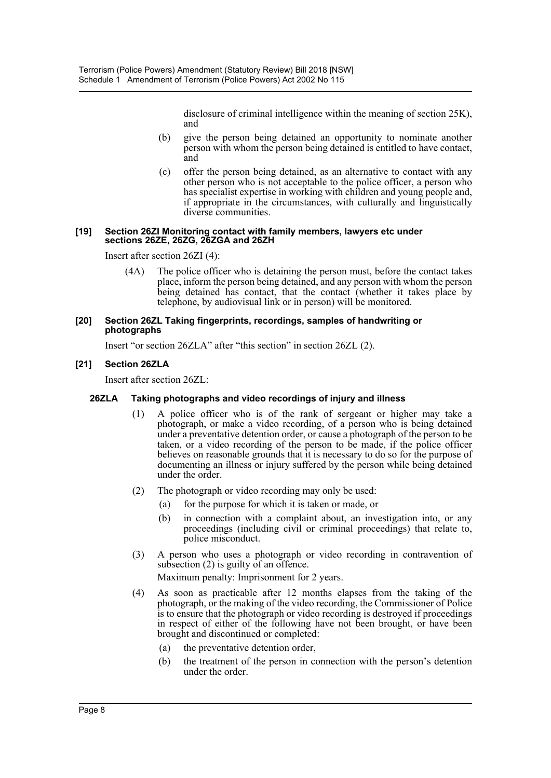disclosure of criminal intelligence within the meaning of section 25K), and

- (b) give the person being detained an opportunity to nominate another person with whom the person being detained is entitled to have contact, and
- (c) offer the person being detained, as an alternative to contact with any other person who is not acceptable to the police officer, a person who has specialist expertise in working with children and young people and, if appropriate in the circumstances, with culturally and linguistically diverse communities.

#### **[19] Section 26ZI Monitoring contact with family members, lawyers etc under sections 26ZE, 26ZG, 26ZGA and 26ZH**

Insert after section 26ZI (4):

(4A) The police officer who is detaining the person must, before the contact takes place, inform the person being detained, and any person with whom the person being detained has contact, that the contact (whether it takes place by telephone, by audiovisual link or in person) will be monitored.

#### **[20] Section 26ZL Taking fingerprints, recordings, samples of handwriting or photographs**

Insert "or section 26ZLA" after "this section" in section 26ZL (2).

# **[21] Section 26ZLA**

Insert after section 26ZL:

#### **26ZLA Taking photographs and video recordings of injury and illness**

- (1) A police officer who is of the rank of sergeant or higher may take a photograph, or make a video recording, of a person who is being detained under a preventative detention order, or cause a photograph of the person to be taken, or a video recording of the person to be made, if the police officer believes on reasonable grounds that it is necessary to do so for the purpose of documenting an illness or injury suffered by the person while being detained under the order.
- (2) The photograph or video recording may only be used:
	- (a) for the purpose for which it is taken or made, or
	- (b) in connection with a complaint about, an investigation into, or any proceedings (including civil or criminal proceedings) that relate to, police misconduct.
- (3) A person who uses a photograph or video recording in contravention of subsection (2) is guilty of an offence.

Maximum penalty: Imprisonment for 2 years.

- (4) As soon as practicable after 12 months elapses from the taking of the photograph, or the making of the video recording, the Commissioner of Police is to ensure that the photograph or video recording is destroyed if proceedings in respect of either of the following have not been brought, or have been brought and discontinued or completed:
	- (a) the preventative detention order,
	- (b) the treatment of the person in connection with the person's detention under the order.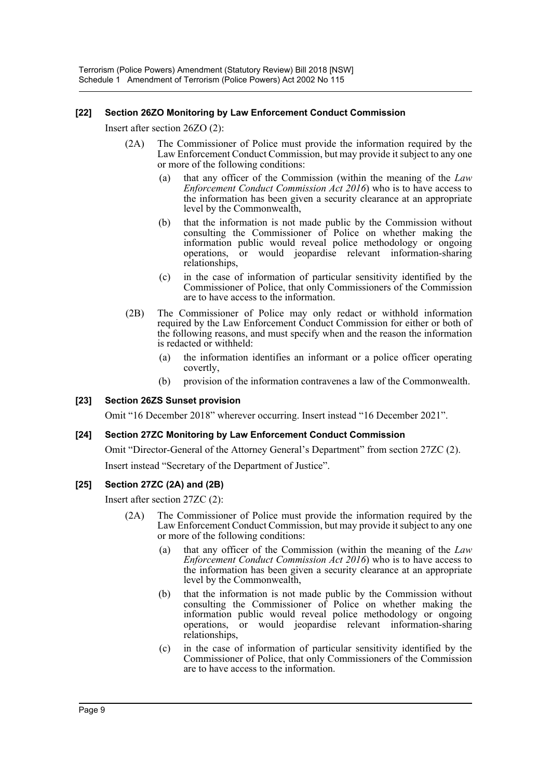# **[22] Section 26ZO Monitoring by Law Enforcement Conduct Commission**

Insert after section 26ZO (2):

- (2A) The Commissioner of Police must provide the information required by the Law Enforcement Conduct Commission, but may provide it subject to any one or more of the following conditions:
	- (a) that any officer of the Commission (within the meaning of the *Law Enforcement Conduct Commission Act 2016*) who is to have access to the information has been given a security clearance at an appropriate level by the Commonwealth,
	- (b) that the information is not made public by the Commission without consulting the Commissioner of Police on whether making the information public would reveal police methodology or ongoing operations, or would jeopardise relevant information-sharing relationships,
	- (c) in the case of information of particular sensitivity identified by the Commissioner of Police, that only Commissioners of the Commission are to have access to the information.
- (2B) The Commissioner of Police may only redact or withhold information required by the Law Enforcement Conduct Commission for either or both of the following reasons, and must specify when and the reason the information is redacted or withheld:
	- (a) the information identifies an informant or a police officer operating covertly,
	- (b) provision of the information contravenes a law of the Commonwealth.

#### **[23] Section 26ZS Sunset provision**

Omit "16 December 2018" wherever occurring. Insert instead "16 December 2021".

#### **[24] Section 27ZC Monitoring by Law Enforcement Conduct Commission**

Omit "Director-General of the Attorney General's Department" from section 27ZC (2).

Insert instead "Secretary of the Department of Justice".

#### **[25] Section 27ZC (2A) and (2B)**

Insert after section 27ZC (2):

- (2A) The Commissioner of Police must provide the information required by the Law Enforcement Conduct Commission, but may provide it subject to any one or more of the following conditions:
	- (a) that any officer of the Commission (within the meaning of the *Law Enforcement Conduct Commission Act 2016*) who is to have access to the information has been given a security clearance at an appropriate level by the Commonwealth,
	- (b) that the information is not made public by the Commission without consulting the Commissioner of Police on whether making the information public would reveal police methodology or ongoing operations, or would jeopardise relevant information-sharing relationships,
	- (c) in the case of information of particular sensitivity identified by the Commissioner of Police, that only Commissioners of the Commission are to have access to the information.